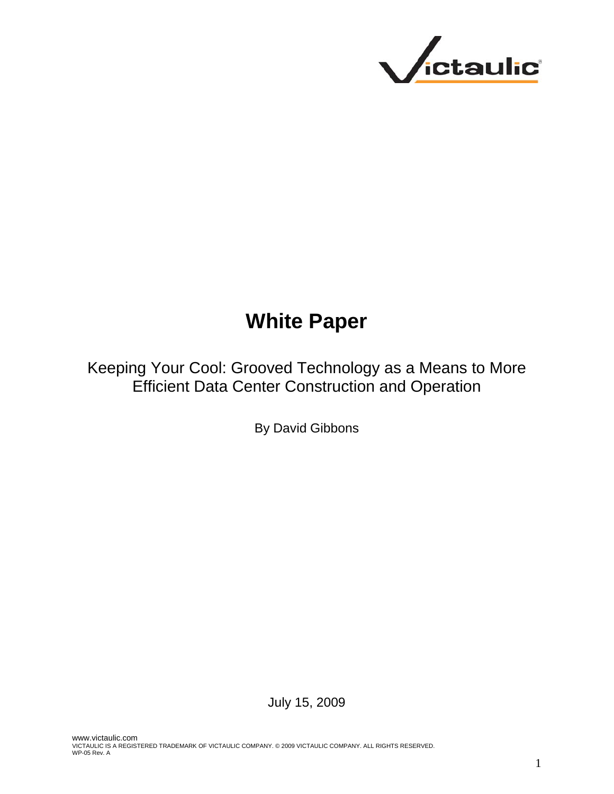

# **White Paper**

Keeping Your Cool: Grooved Technology as a Means to More Efficient Data Center Construction and Operation

By David Gibbons

July 15, 2009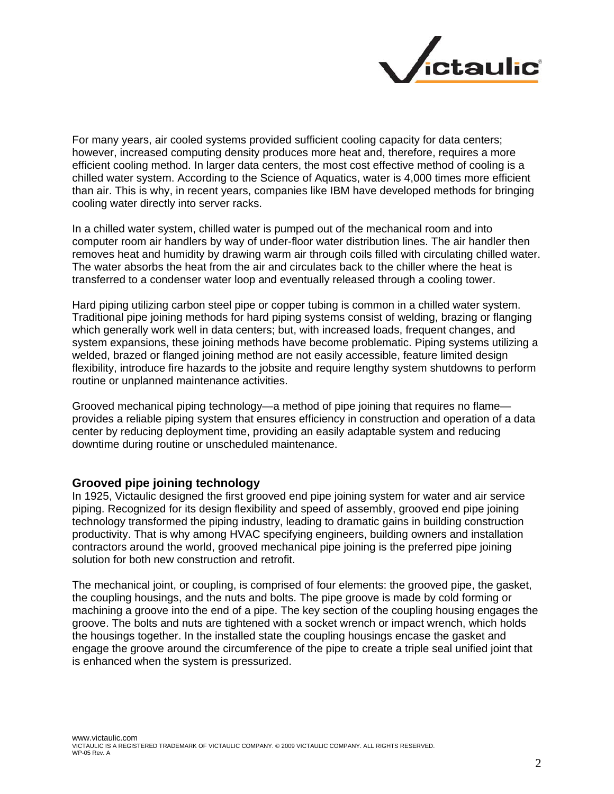

For many years, air cooled systems provided sufficient cooling capacity for data centers; however, increased computing density produces more heat and, therefore, requires a more efficient cooling method. In larger data centers, the most cost effective method of cooling is a chilled water system. According to the Science of Aquatics, water is 4,000 times more efficient than air. This is why, in recent years, companies like IBM have developed methods for bringing cooling water directly into server racks.

In a chilled water system, chilled water is pumped out of the mechanical room and into computer room air handlers by way of under-floor water distribution lines. The air handler then removes heat and humidity by drawing warm air through coils filled with circulating chilled water. The water absorbs the heat from the air and circulates back to the chiller where the heat is transferred to a condenser water loop and eventually released through a cooling tower.

Hard piping utilizing carbon steel pipe or copper tubing is common in a chilled water system. Traditional pipe joining methods for hard piping systems consist of welding, brazing or flanging which generally work well in data centers; but, with increased loads, frequent changes, and system expansions, these joining methods have become problematic. Piping systems utilizing a welded, brazed or flanged joining method are not easily accessible, feature limited design flexibility, introduce fire hazards to the jobsite and require lengthy system shutdowns to perform routine or unplanned maintenance activities.

Grooved mechanical piping technology—a method of pipe joining that requires no flame provides a reliable piping system that ensures efficiency in construction and operation of a data center by reducing deployment time, providing an easily adaptable system and reducing downtime during routine or unscheduled maintenance.

#### **Grooved pipe joining technology**

In 1925, Victaulic designed the first grooved end pipe joining system for water and air service piping. Recognized for its design flexibility and speed of assembly, grooved end pipe joining technology transformed the piping industry, leading to dramatic gains in building construction productivity. That is why among HVAC specifying engineers, building owners and installation contractors around the world, grooved mechanical pipe joining is the preferred pipe joining solution for both new construction and retrofit.

The mechanical joint, or coupling, is comprised of four elements: the grooved pipe, the gasket, the coupling housings, and the nuts and bolts. The pipe groove is made by cold forming or machining a groove into the end of a pipe. The key section of the coupling housing engages the groove. The bolts and nuts are tightened with a socket wrench or impact wrench, which holds the housings together. In the installed state the coupling housings encase the gasket and engage the groove around the circumference of the pipe to create a triple seal unified joint that is enhanced when the system is pressurized.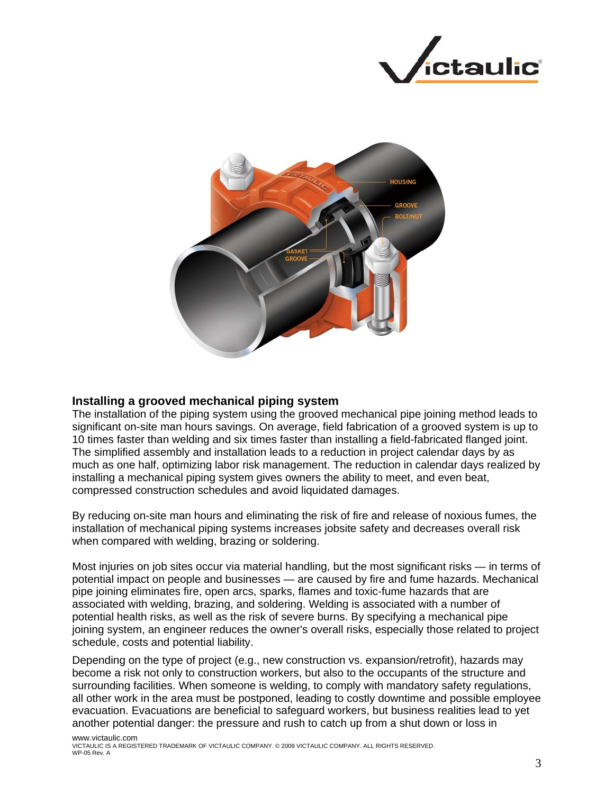



### **Installing a grooved mechanical piping system**

The installation of the piping system using the grooved mechanical pipe joining method leads to significant on-site man hours savings. On average, field fabrication of a grooved system is up to 10 times faster than welding and six times faster than installing a field-fabricated flanged joint. The simplified assembly and installation leads to a reduction in project calendar days by as much as one half, optimizing labor risk management. The reduction in calendar days realized by installing a mechanical piping system gives owners the ability to meet, and even beat, compressed construction schedules and avoid liquidated damages.

By reducing on-site man hours and eliminating the risk of fire and release of noxious fumes, the installation of mechanical piping systems increases jobsite safety and decreases overall risk when compared with welding, brazing or soldering.

Most injuries on job sites occur via material handling, but the most significant risks — in terms of potential impact on people and businesses — are caused by fire and fume hazards. Mechanical pipe joining eliminates fire, open arcs, sparks, flames and toxic-fume hazards that are associated with welding, brazing, and soldering. Welding is associated with a number of potential health risks, as well as the risk of severe burns. By specifying a mechanical pipe joining system, an engineer reduces the owner's overall risks, especially those related to project schedule, costs and potential liability.

Depending on the type of project (e.g., new construction vs. expansion/retrofit), hazards may become a risk not only to construction workers, but also to the occupants of the structure and surrounding facilities. When someone is welding, to comply with mandatory safety regulations, all other work in the area must be postponed, leading to costly downtime and possible employee evacuation. Evacuations are beneficial to safeguard workers, but business realities lead to yet another potential danger: the pressure and rush to catch up from a shut down or loss in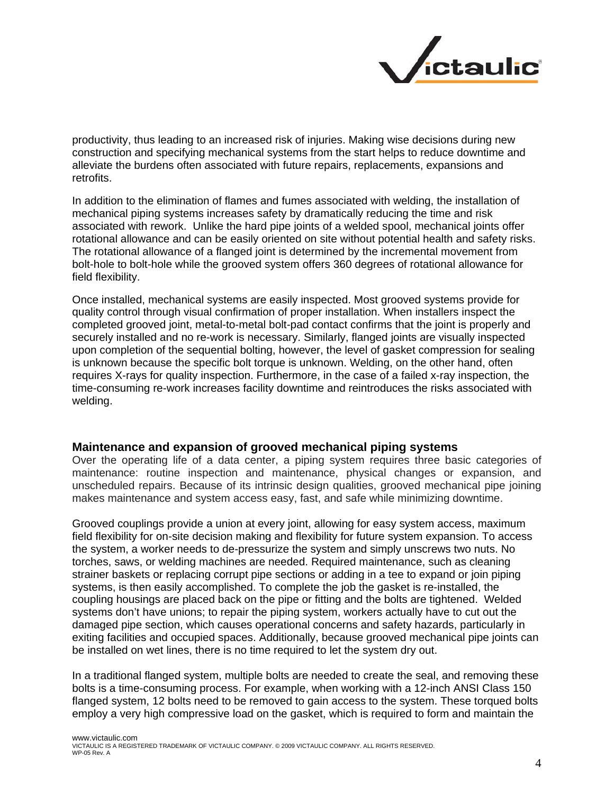

productivity, thus leading to an increased risk of injuries. Making wise decisions during new construction and specifying mechanical systems from the start helps to reduce downtime and alleviate the burdens often associated with future repairs, replacements, expansions and retrofits.

In addition to the elimination of flames and fumes associated with welding, the installation of mechanical piping systems increases safety by dramatically reducing the time and risk associated with rework. Unlike the hard pipe joints of a welded spool, mechanical joints offer rotational allowance and can be easily oriented on site without potential health and safety risks. The rotational allowance of a flanged joint is determined by the incremental movement from bolt-hole to bolt-hole while the grooved system offers 360 degrees of rotational allowance for field flexibility.

Once installed, mechanical systems are easily inspected. Most grooved systems provide for quality control through visual confirmation of proper installation. When installers inspect the completed grooved joint, metal-to-metal bolt-pad contact confirms that the joint is properly and securely installed and no re-work is necessary. Similarly, flanged joints are visually inspected upon completion of the sequential bolting, however, the level of gasket compression for sealing is unknown because the specific bolt torque is unknown. Welding, on the other hand, often requires X-rays for quality inspection. Furthermore, in the case of a failed x-ray inspection, the time-consuming re-work increases facility downtime and reintroduces the risks associated with welding.

#### **Maintenance and expansion of grooved mechanical piping systems**

Over the operating life of a data center, a piping system requires three basic categories of maintenance: routine inspection and maintenance, physical changes or expansion, and unscheduled repairs. Because of its intrinsic design qualities, grooved mechanical pipe joining makes maintenance and system access easy, fast, and safe while minimizing downtime.

Grooved couplings provide a union at every joint, allowing for easy system access, maximum field flexibility for on-site decision making and flexibility for future system expansion. To access the system, a worker needs to de-pressurize the system and simply unscrews two nuts. No torches, saws, or welding machines are needed. Required maintenance, such as cleaning strainer baskets or replacing corrupt pipe sections or adding in a tee to expand or join piping systems, is then easily accomplished. To complete the job the gasket is re-installed, the coupling housings are placed back on the pipe or fitting and the bolts are tightened. Welded systems don't have unions; to repair the piping system, workers actually have to cut out the damaged pipe section, which causes operational concerns and safety hazards, particularly in exiting facilities and occupied spaces. Additionally, because grooved mechanical pipe joints can be installed on wet lines, there is no time required to let the system dry out.

In a traditional flanged system, multiple bolts are needed to create the seal, and removing these bolts is a time-consuming process. For example, when working with a 12-inch ANSI Class 150 flanged system, 12 bolts need to be removed to gain access to the system. These torqued bolts employ a very high compressive load on the gasket, which is required to form and maintain the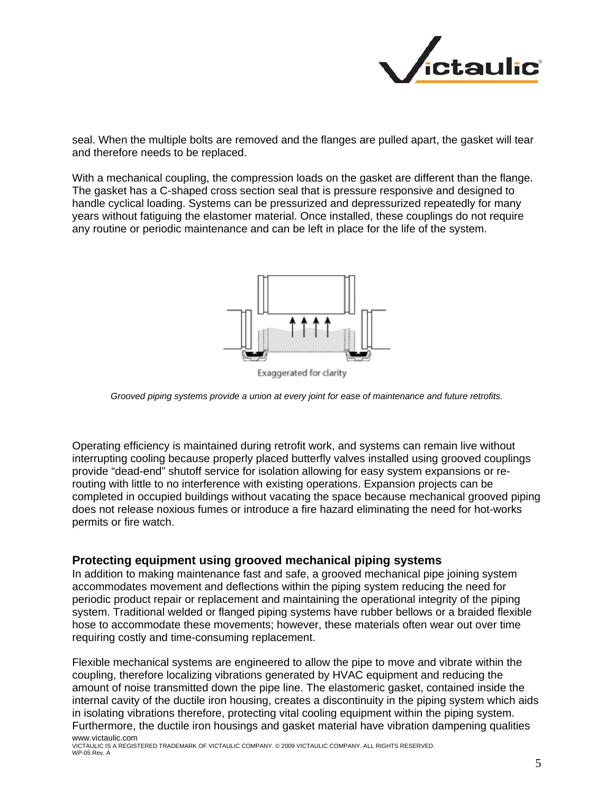

seal. When the multiple bolts are removed and the flanges are pulled apart, the gasket will tear and therefore needs to be replaced.

With a mechanical coupling, the compression loads on the gasket are different than the flange. The gasket has a C-shaped cross section seal that is pressure responsive and designed to handle cyclical loading. Systems can be pressurized and depressurized repeatedly for many years without fatiguing the elastomer material. Once installed, these couplings do not require any routine or periodic maintenance and can be left in place for the life of the system.



Exaggerated for clarity

*Grooved piping systems provide a union at every joint for ease of maintenance and future retrofits.* 

Operating efficiency is maintained during retrofit work, and systems can remain live without interrupting cooling because properly placed butterfly valves installed using grooved couplings provide "dead-end" shutoff service for isolation allowing for easy system expansions or rerouting with little to no interference with existing operations. Expansion projects can be completed in occupied buildings without vacating the space because mechanical grooved piping does not release noxious fumes or introduce a fire hazard eliminating the need for hot-works permits or fire watch.

#### **Protecting equipment using grooved mechanical piping systems**

In addition to making maintenance fast and safe, a grooved mechanical pipe joining system accommodates movement and deflections within the piping system reducing the need for periodic product repair or replacement and maintaining the operational integrity of the piping system. Traditional welded or flanged piping systems have rubber bellows or a braided flexible hose to accommodate these movements; however, these materials often wear out over time requiring costly and time-consuming replacement.

www.victaulic.com Flexible mechanical systems are engineered to allow the pipe to move and vibrate within the coupling, therefore localizing vibrations generated by HVAC equipment and reducing the amount of noise transmitted down the pipe line. The elastomeric gasket, contained inside the internal cavity of the ductile iron housing, creates a discontinuity in the piping system which aids in isolating vibrations therefore, protecting vital cooling equipment within the piping system. Furthermore, the ductile iron housings and gasket material have vibration dampening qualities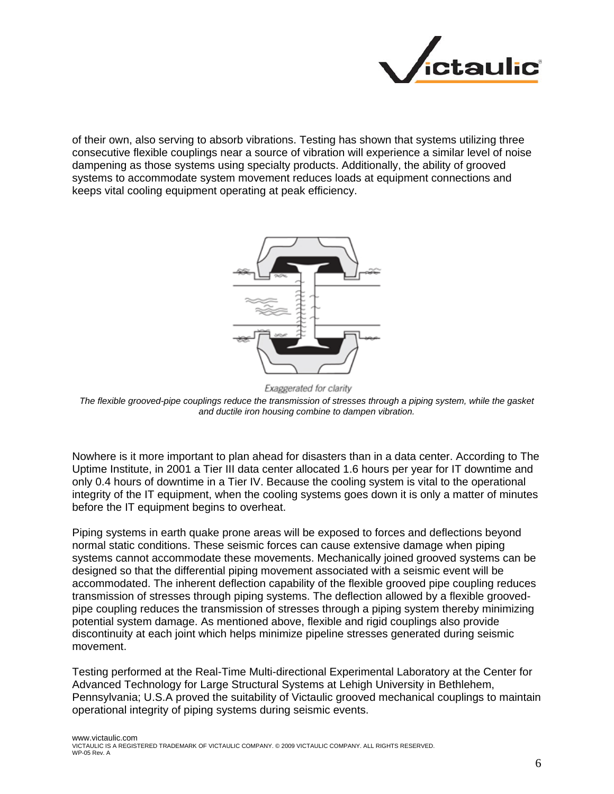

of their own, also serving to absorb vibrations. Testing has shown that systems utilizing three consecutive flexible couplings near a source of vibration will experience a similar level of noise dampening as those systems using specialty products. Additionally, the ability of grooved systems to accommodate system movement reduces loads at equipment connections and keeps vital cooling equipment operating at peak efficiency.



Exaggerated for clarity

*The flexible grooved-pipe couplings reduce the transmission of stresses through a piping system, while the gasket and ductile iron housing combine to dampen vibration.* 

Nowhere is it more important to plan ahead for disasters than in a data center. According to The Uptime Institute, in 2001 a Tier III data center allocated 1.6 hours per year for IT downtime and only 0.4 hours of downtime in a Tier IV. Because the cooling system is vital to the operational integrity of the IT equipment, when the cooling systems goes down it is only a matter of minutes before the IT equipment begins to overheat.

Piping systems in earth quake prone areas will be exposed to forces and deflections beyond normal static conditions. These seismic forces can cause extensive damage when piping systems cannot accommodate these movements. Mechanically joined grooved systems can be designed so that the differential piping movement associated with a seismic event will be accommodated. The inherent deflection capability of the flexible grooved pipe coupling reduces transmission of stresses through piping systems. The deflection allowed by a flexible groovedpipe coupling reduces the transmission of stresses through a piping system thereby minimizing potential system damage. As mentioned above, flexible and rigid couplings also provide discontinuity at each joint which helps minimize pipeline stresses generated during seismic movement.

Testing performed at the Real-Time Multi-directional Experimental Laboratory at the Center for Advanced Technology for Large Structural Systems at Lehigh University in Bethlehem, Pennsylvania; U.S.A proved the suitability of Victaulic grooved mechanical couplings to maintain operational integrity of piping systems during seismic events.